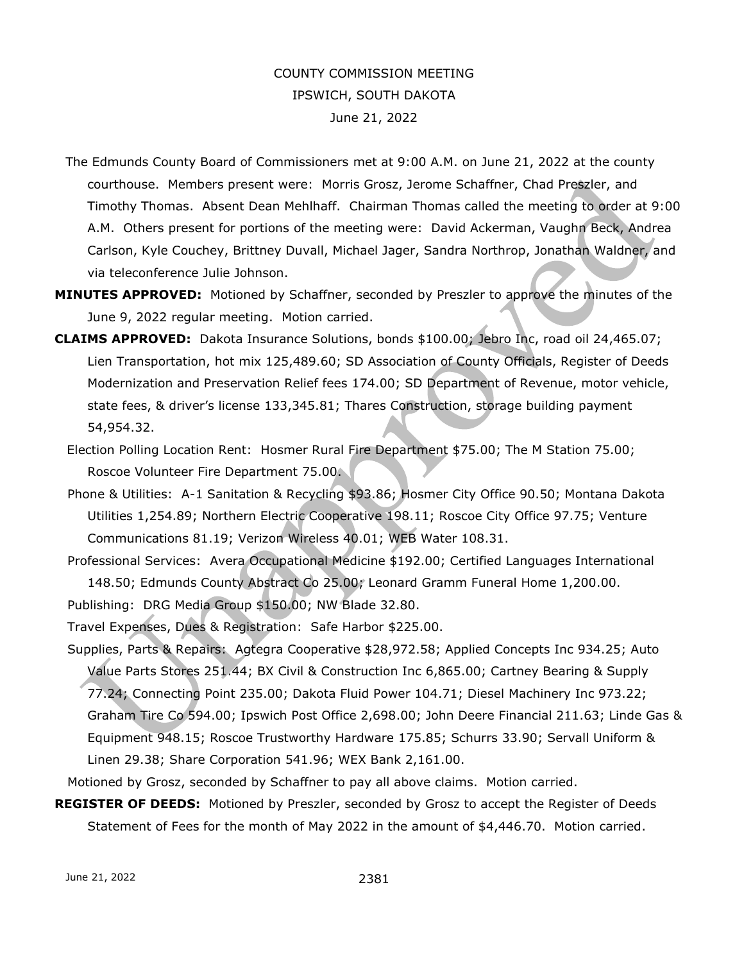## COUNTY COMMISSION MEETING IPSWICH, SOUTH DAKOTA June 21, 2022

- The Edmunds County Board of Commissioners met at 9:00 A.M. on June 21, 2022 at the county courthouse. Members present were: Morris Grosz, Jerome Schaffner, Chad Preszler, and Timothy Thomas. Absent Dean Mehlhaff. Chairman Thomas called the meeting to order at 9:00 A.M. Others present for portions of the meeting were: David Ackerman, Vaughn Beck, Andrea Carlson, Kyle Couchey, Brittney Duvall, Michael Jager, Sandra Northrop, Jonathan Waldner, and via teleconference Julie Johnson.
- **MINUTES APPROVED:** Motioned by Schaffner, seconded by Preszler to approve the minutes of the June 9, 2022 regular meeting. Motion carried.
- **CLAIMS APPROVED:** Dakota Insurance Solutions, bonds \$100.00; Jebro Inc, road oil 24,465.07; Lien Transportation, hot mix 125,489.60; SD Association of County Officials, Register of Deeds Modernization and Preservation Relief fees 174.00; SD Department of Revenue, motor vehicle, state fees, & driver's license 133,345.81; Thares Construction, storage building payment 54,954.32.
	- Election Polling Location Rent: Hosmer Rural Fire Department \$75.00; The M Station 75.00; Roscoe Volunteer Fire Department 75.00.
	- Phone & Utilities: A-1 Sanitation & Recycling \$93.86; Hosmer City Office 90.50; Montana Dakota Utilities 1,254.89; Northern Electric Cooperative 198.11; Roscoe City Office 97.75; Venture Communications 81.19; Verizon Wireless 40.01; WEB Water 108.31.
	- Professional Services: Avera Occupational Medicine \$192.00; Certified Languages International 148.50; Edmunds County Abstract Co 25.00; Leonard Gramm Funeral Home 1,200.00.
	- Publishing: DRG Media Group \$150.00; NW Blade 32.80.
	- Travel Expenses, Dues & Registration: Safe Harbor \$225.00.
	- Supplies, Parts & Repairs: Agtegra Cooperative \$28,972.58; Applied Concepts Inc 934.25; Auto Value Parts Stores 251.44; BX Civil & Construction Inc 6,865.00; Cartney Bearing & Supply 77.24; Connecting Point 235.00; Dakota Fluid Power 104.71; Diesel Machinery Inc 973.22; Graham Tire Co 594.00; Ipswich Post Office 2,698.00; John Deere Financial 211.63; Linde Gas & Equipment 948.15; Roscoe Trustworthy Hardware 175.85; Schurrs 33.90; Servall Uniform & Linen 29.38; Share Corporation 541.96; WEX Bank 2,161.00.
- Motioned by Grosz, seconded by Schaffner to pay all above claims. Motion carried.
- **REGISTER OF DEEDS:** Motioned by Preszler, seconded by Grosz to accept the Register of Deeds Statement of Fees for the month of May 2022 in the amount of \$4,446.70. Motion carried.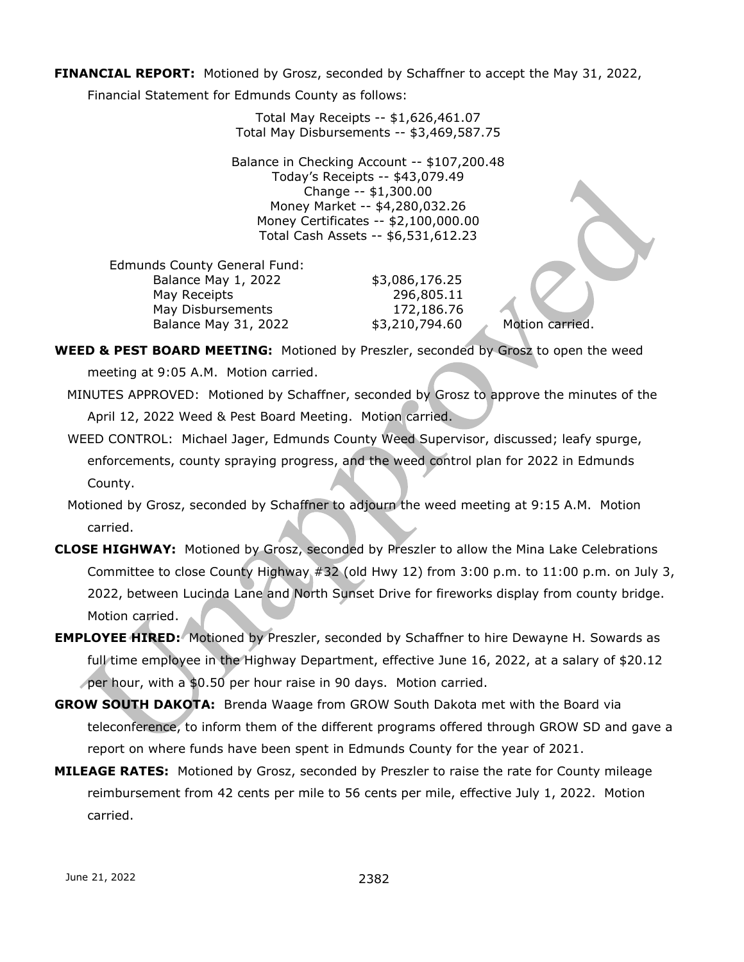**FINANCIAL REPORT:** Motioned by Grosz, seconded by Schaffner to accept the May 31, 2022,

Financial Statement for Edmunds County as follows:

Total May Receipts -- \$1,626,461.07 Total May Disbursements -- \$3,469,587.75

Balance in Checking Account -- \$107,200.48 Today's Receipts -- \$43,079.49 Change -- \$1,300.00 Money Market -- \$4,280,032.26 Money Certificates -- \$2,100,000.00 Total Cash Assets -- \$6,531,612.23

 Edmunds County General Fund: Balance May 1, 2022 \$3,086,176.25 May Receipts 296,805.11 May Disbursements 172,186.76 Balance May 31, 2022 \$3,210,794.60 Motion carried.

**WEED & PEST BOARD MEETING:** Motioned by Preszler, seconded by Grosz to open the weed

meeting at 9:05 A.M. Motion carried.

- MINUTES APPROVED: Motioned by Schaffner, seconded by Grosz to approve the minutes of the April 12, 2022 Weed & Pest Board Meeting. Motion carried.
- WEED CONTROL: Michael Jager, Edmunds County Weed Supervisor, discussed; leafy spurge, enforcements, county spraying progress, and the weed control plan for 2022 in Edmunds County.
- Motioned by Grosz, seconded by Schaffner to adjourn the weed meeting at 9:15 A.M. Motion carried.
- **CLOSE HIGHWAY:** Motioned by Grosz, seconded by Preszler to allow the Mina Lake Celebrations Committee to close County Highway #32 (old Hwy 12) from 3:00 p.m. to 11:00 p.m. on July 3, 2022, between Lucinda Lane and North Sunset Drive for fireworks display from county bridge. Motion carried.
- **EMPLOYEE HIRED:** Motioned by Preszler, seconded by Schaffner to hire Dewayne H. Sowards as full time employee in the Highway Department, effective June 16, 2022, at a salary of \$20.12 per hour, with a \$0.50 per hour raise in 90 days. Motion carried.
- **GROW SOUTH DAKOTA:** Brenda Waage from GROW South Dakota met with the Board via teleconference, to inform them of the different programs offered through GROW SD and gave a report on where funds have been spent in Edmunds County for the year of 2021.
- **MILEAGE RATES:** Motioned by Grosz, seconded by Preszler to raise the rate for County mileage reimbursement from 42 cents per mile to 56 cents per mile, effective July 1, 2022. Motion carried.